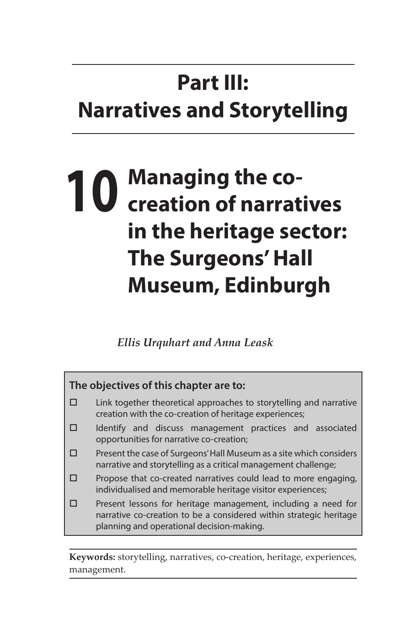# **Part III: Narratives and Storytelling**

# **10 Managing the co-creation of narratives in the heritage sector: The Surgeons' Hall Museum, Edinburgh**

*Ellis Urquhart and Anna Leask*



**Keywords:** storytelling, narratives, co-creation, heritage, experiences, management.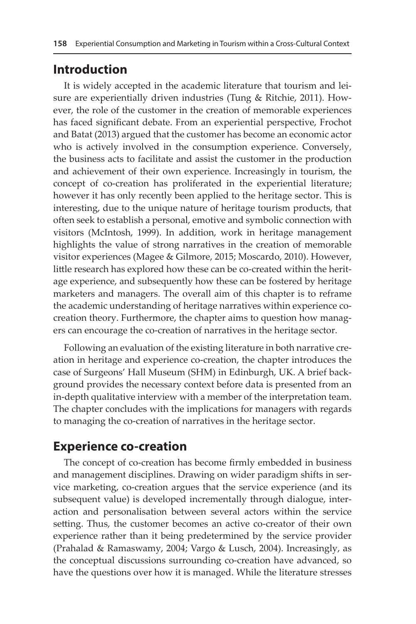#### **Introduction**

It is widely accepted in the academic literature that tourism and leisure are experientially driven industries (Tung & Ritchie, 2011). However, the role of the customer in the creation of memorable experiences has faced significant debate. From an experiential perspective, Frochot and Batat (2013) argued that the customer has become an economic actor who is actively involved in the consumption experience. Conversely, the business acts to facilitate and assist the customer in the production and achievement of their own experience. Increasingly in tourism, the concept of co-creation has proliferated in the experiential literature; however it has only recently been applied to the heritage sector. This is interesting, due to the unique nature of heritage tourism products, that often seek to establish a personal, emotive and symbolic connection with visitors (McIntosh, 1999). In addition, work in heritage management highlights the value of strong narratives in the creation of memorable visitor experiences (Magee & Gilmore, 2015; Moscardo, 2010). However, little research has explored how these can be co-created within the heritage experience, and subsequently how these can be fostered by heritage marketers and managers. The overall aim of this chapter is to reframe the academic understanding of heritage narratives within experience cocreation theory. Furthermore, the chapter aims to question how managers can encourage the co-creation of narratives in the heritage sector.

Following an evaluation of the existing literature in both narrative creation in heritage and experience co-creation, the chapter introduces the case of Surgeons' Hall Museum (SHM) in Edinburgh, UK. A brief background provides the necessary context before data is presented from an in-depth qualitative interview with a member of the interpretation team. The chapter concludes with the implications for managers with regards to managing the co-creation of narratives in the heritage sector.

### **Experience co-creation**

The concept of co-creation has become firmly embedded in business and management disciplines. Drawing on wider paradigm shifts in service marketing, co-creation argues that the service experience (and its subsequent value) is developed incrementally through dialogue, interaction and personalisation between several actors within the service setting. Thus, the customer becomes an active co-creator of their own experience rather than it being predetermined by the service provider (Prahalad & Ramaswamy, 2004; Vargo & Lusch, 2004). Increasingly, as the conceptual discussions surrounding co-creation have advanced, so have the questions over how it is managed. While the literature stresses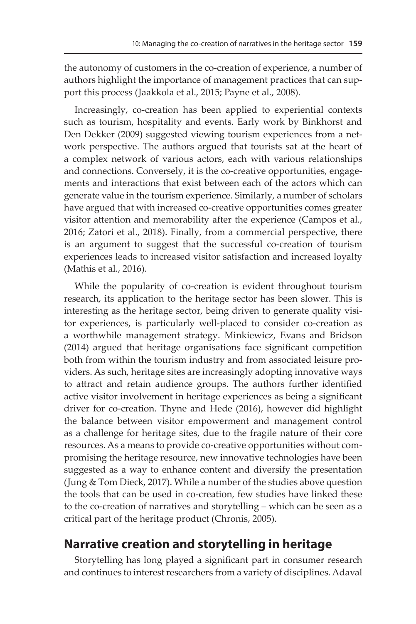the autonomy of customers in the co-creation of experience, a number of authors highlight the importance of management practices that can support this process (Jaakkola et al., 2015; Payne et al., 2008).

Increasingly, co-creation has been applied to experiential contexts such as tourism, hospitality and events. Early work by Binkhorst and Den Dekker (2009) suggested viewing tourism experiences from a network perspective. The authors argued that tourists sat at the heart of a complex network of various actors, each with various relationships and connections. Conversely, it is the co-creative opportunities, engagements and interactions that exist between each of the actors which can generate value in the tourism experience. Similarly, a number of scholars have argued that with increased co-creative opportunities comes greater visitor attention and memorability after the experience (Campos et al., 2016; Zatori et al., 2018). Finally, from a commercial perspective, there is an argument to suggest that the successful co-creation of tourism experiences leads to increased visitor satisfaction and increased loyalty (Mathis et al., 2016).

While the popularity of co-creation is evident throughout tourism research, its application to the heritage sector has been slower. This is interesting as the heritage sector, being driven to generate quality visitor experiences, is particularly well-placed to consider co-creation as a worthwhile management strategy. Minkiewicz, Evans and Bridson (2014) argued that heritage organisations face significant competition both from within the tourism industry and from associated leisure providers. As such, heritage sites are increasingly adopting innovative ways to attract and retain audience groups. The authors further identified active visitor involvement in heritage experiences as being a significant driver for co-creation. Thyne and Hede (2016), however did highlight the balance between visitor empowerment and management control as a challenge for heritage sites, due to the fragile nature of their core resources. As a means to provide co-creative opportunities without compromising the heritage resource, new innovative technologies have been suggested as a way to enhance content and diversify the presentation (Jung & Tom Dieck, 2017). While a number of the studies above question the tools that can be used in co-creation, few studies have linked these to the co-creation of narratives and storytelling – which can be seen as a critical part of the heritage product (Chronis, 2005).

## **Narrative creation and storytelling in heritage**

Storytelling has long played a significant part in consumer research and continues to interest researchers from a variety of disciplines. Adaval